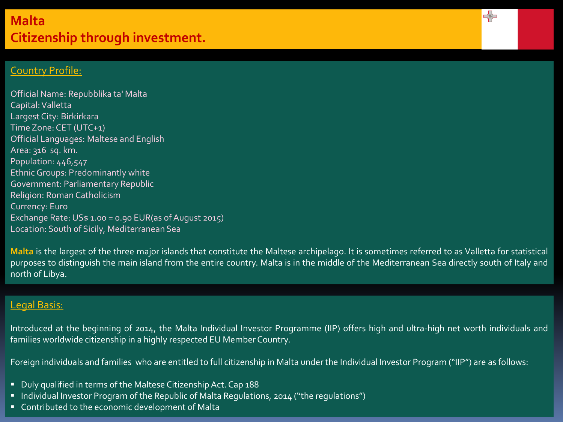# **Malta Citizenship through investment.**

## Country Profile:

Official Name: Repubblika ta' Malta Capital:Valletta Largest City: Birkirkara Time Zone: CET (UTC+1) Official Languages: Maltese and English Area: 316 sq. km. Population: 446,547 Ethnic Groups: Predominantly white Government: Parliamentary Republic Religion: Roman Catholicism Currency: Euro Exchange Rate: US\$ 1.00 = 0.90 EUR(as of August 2015) Location: South of Sicily, Mediterranean Sea

**Malta** is the largest of the three major islands that constitute the Maltese archipelago. It is sometimes referred to as Valletta for statistical purposes to distinguish the main island from the entire country. Malta is in the middle of the Mediterranean Sea directly south of Italy and north of Libya.

 $\prec$ 

#### Legal Basis:

Introduced at the beginning of 2014, the Malta Individual Investor Programme (IIP) offers high and ultra-high net worth individuals and families worldwide citizenship in a highly respected EU Member Country.

Foreign individuals and families who are entitled to full citizenship in Malta under the Individual Investor Program ("IIP") are as follows:

- Duly qualified in terms of the Maltese Citizenship Act. Cap 188
- Individual Investor Program of the Republic of Malta Regulations, 2014 ("the regulations")
- **Contributed to the economic development of Malta**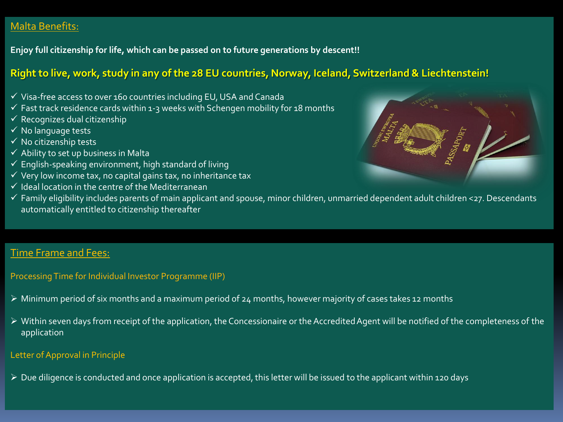## Malta Benefits:

**Enjoy full citizenship for life, which can be passed on to future generations by descent!!**

## **Right to live, work, study in any of the 28 EU countries, Norway, Iceland, Switzerland & Liechtenstein!**

- $\checkmark$  Visa-free access to over 160 countries including EU, USA and Canada
- $\checkmark$  Fast track residence cards within 1-3 weeks with Schengen mobility for 18 months
- $\overline{\mathsf{y}}$  Recognizes dual citizenship
- $\checkmark$  No language tests
- $\checkmark$  No citizenship tests
- $\checkmark$  Ability to set up business in Malta
- $\checkmark$  English-speaking environment, high standard of living
- $\checkmark$  Very low income tax, no capital gains tax, no inheritance tax
- $\checkmark$  Ideal location in the centre of the Mediterranean



 Family eligibility includes parents of main applicant and spouse, minor children, unmarried dependent adult children <27. Descendants automatically entitled to citizenship thereafter

## Time Frame and Fees:

Processing Time for Individual Investor Programme (IIP)

- Minimum period of six months and a maximum period of 24 months, however majority of cases takes 12 months
- Within seven days from receipt of the application, the Concessionaire or the Accredited Agent will be notified of the completeness of the application

#### Letter of Approval in Principle

Due diligence is conducted and once application is accepted, this letter will be issued to the applicant within 120 days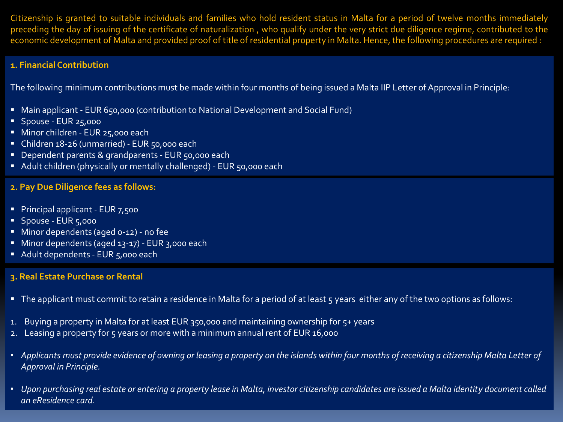Citizenship is granted to suitable individuals and families who hold resident status in Malta for a period of twelve months immediately preceding the day of issuing of the certificate of naturalization , who qualify under the very strict due diligence regime, contributed to the economic development of Malta and provided proof of title of residential property in Malta. Hence, the following procedures are required :

#### **1. Financial Contribution**

The following minimum contributions must be made within four months of being issued a Malta IIP Letter of Approval in Principle:

- Main applicant EUR 650,000 (contribution to National Development and Social Fund)
- **Spouse EUR 25,000**
- Minor children EUR 25,000 each
- Children 18-26 (unmarried) EUR 50,000 each
- Dependent parents & grandparents EUR 50,000 each
- Adult children (physically or mentally challenged) EUR 50,000 each

#### **2. Pay Due Diligence fees as follows:**

- Principal applicant EUR 7,500
- **Spouse EUR 5,000**
- **Minor dependents (aged 0-12) no fee**
- Minor dependents (aged 13-17) EUR 3,000 each
- Adult dependents EUR 5,000 each

#### **3. Real Estate Purchase or Rental**

- The applicant must commit to retain a residence in Malta for a period of at least 5 years either any of the two options as follows:
- 1. Buying a property in Malta for at least EUR 350,000 and maintaining ownership for 5+ years
- 2. Leasing a property for 5 years or more with a minimum annual rent of EUR 16,000
- *Applicants must provide evidence of owning or leasing a property on the islands within four months of receiving a citizenship Malta Letter of Approval in Principle.*
- *Upon purchasing real estate or entering a property lease in Malta, investor citizenship candidates are issued a Malta identity document called an eResidence card.*